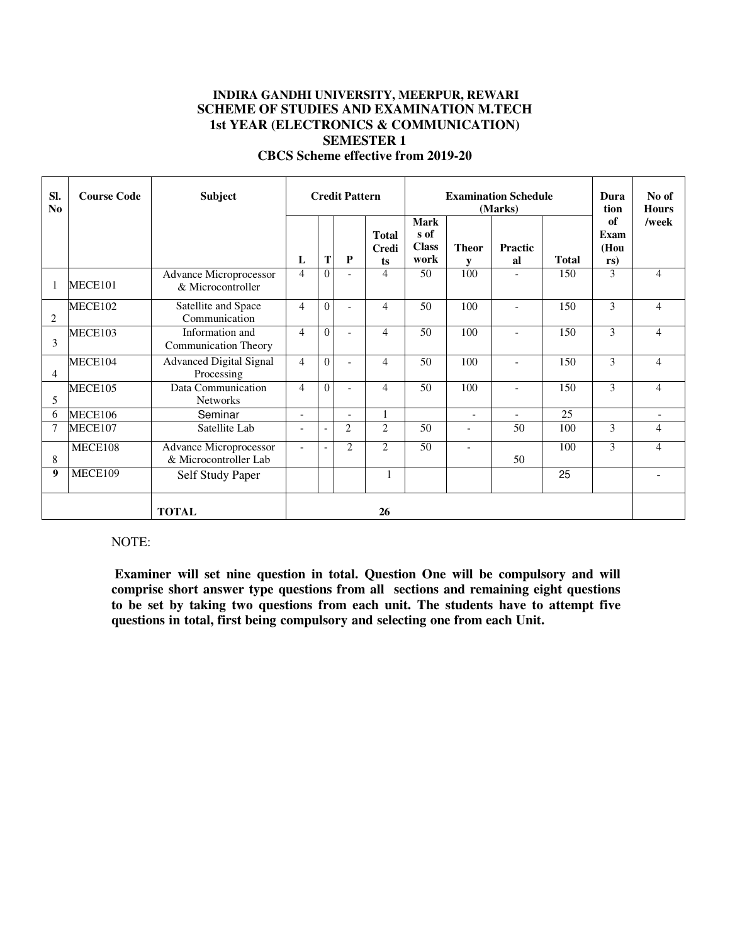# **INDIRA GANDHI UNIVERSITY, MEERPUR, REWARI SCHEME OF STUDIES AND EXAMINATION M.TECH 1st YEAR (ELECTRONICS & COMMUNICATION) SEMESTER 1 CBCS Scheme effective from 2019-20**

| SI.<br>No          | <b>Course Code</b> | <b>Subject</b>                                     | <b>Credit Pattern</b>    |          |                          | <b>Examination Schedule</b><br>(Marks) |                                             |                          |                          | Dura<br>tion | No of<br><b>Hours</b>     |                          |
|--------------------|--------------------|----------------------------------------------------|--------------------------|----------|--------------------------|----------------------------------------|---------------------------------------------|--------------------------|--------------------------|--------------|---------------------------|--------------------------|
|                    |                    |                                                    | L                        | T        | P                        | <b>Total</b><br>Credi<br>ts            | <b>Mark</b><br>s of<br><b>Class</b><br>work | <b>Theor</b><br>V        | <b>Practic</b><br>al     | <b>Total</b> | of<br>Exam<br>(Hou<br>rs) | /week                    |
|                    | MECE101            | <b>Advance Microprocessor</b><br>& Microcontroller | $\overline{4}$           | 0        |                          | 4                                      | 50                                          | 100                      |                          | 150          | 3                         | 4                        |
| $\overline{2}$     | MECE102            | Satellite and Space<br>Communication               | $\overline{4}$           | 0        |                          | 4                                      | 50                                          | 100                      | $\overline{\phantom{a}}$ | 150          | 3                         | $\overline{4}$           |
| $\mathcal{E}$      | MECE103            | Information and<br><b>Communication Theory</b>     | $\overline{4}$           | $\Omega$ |                          | 4                                      | 50                                          | 100                      | $\overline{a}$           | 150          | 3                         | $\overline{4}$           |
| 4                  | MECE104            | <b>Advanced Digital Signal</b><br>Processing       | $\overline{4}$           | 0        |                          | 4                                      | 50                                          | 100                      | $\overline{\phantom{a}}$ | 150          | 3                         | $\overline{4}$           |
| 5                  | MECE105            | Data Communication<br><b>Networks</b>              | $\overline{4}$           | $\Omega$ |                          | 4                                      | 50                                          | 100                      | $\overline{a}$           | 150          | 3                         | $\overline{4}$           |
| 6                  | MECE106            | Seminar                                            | $\blacksquare$           |          | $\overline{\phantom{a}}$ | $\mathbf{1}$                           |                                             | $\blacksquare$           | $\overline{a}$           | 25           |                           | $\overline{\phantom{a}}$ |
| $\overline{7}$     | MECE107            | Satellite Lab                                      | $\overline{\phantom{a}}$ |          | $\overline{2}$           | $\overline{c}$                         | 50                                          | $\overline{\phantom{a}}$ | 50                       | 100          | 3                         | 4                        |
| 8                  | MECE108            | Advance Microprocessor<br>& Microcontroller Lab    | $\overline{\phantom{a}}$ |          | $\overline{2}$           | $\overline{c}$                         | 50                                          | $\overline{a}$           | 50                       | 100          | 3                         | $\overline{4}$           |
| 9                  | MECE109            | Self Study Paper                                   |                          |          |                          | 1                                      |                                             |                          |                          | 25           |                           |                          |
| <b>TOTAL</b><br>26 |                    |                                                    |                          |          |                          |                                        |                                             |                          |                          |              |                           |                          |

#### NOTE:

**Examiner will set nine question in total. Question One will be compulsory and will comprise short answer type questions from all sections and remaining eight questions to be set by taking two questions from each unit. The students have to attempt five questions in total, first being compulsory and selecting one from each Unit.**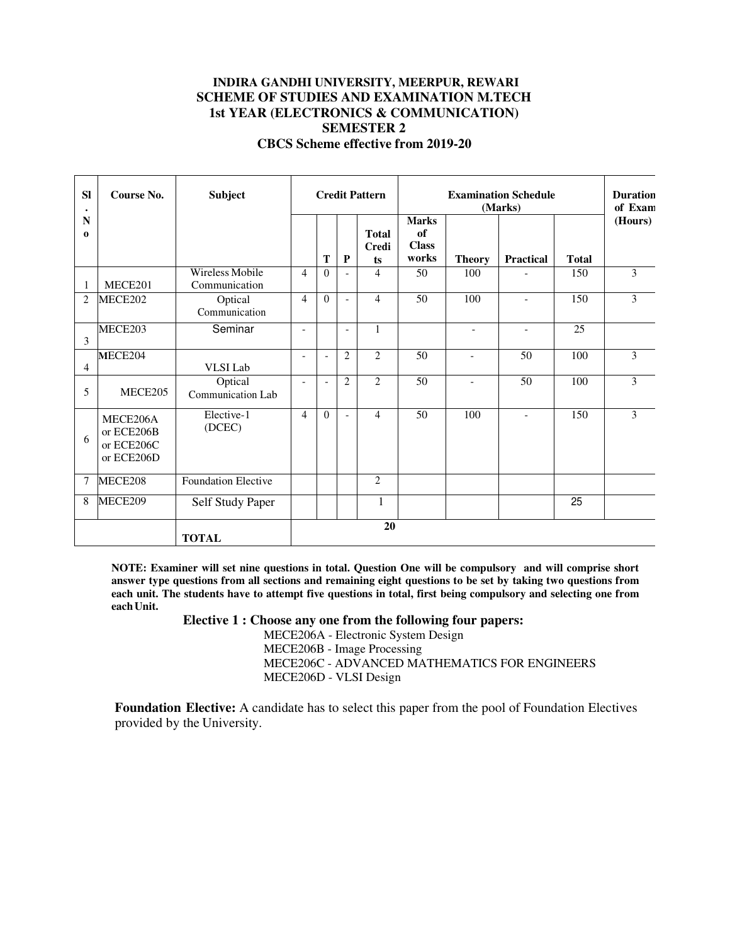# **INDIRA GANDHI UNIVERSITY, MEERPUR, REWARI SCHEME OF STUDIES AND EXAMINATION M.TECH 1st YEAR (ELECTRONICS & COMMUNICATION) SEMESTER 2 CBCS Scheme effective from 2019-20**

| <b>SI</b>      | Course No.                                         | <b>Subject</b>                   |                | <b>Credit Pattern</b><br><b>Examination Schedule</b><br>(Marks) |                          |                                    |                                             |                |                          | <b>Duration</b><br>of Exam |                |
|----------------|----------------------------------------------------|----------------------------------|----------------|-----------------------------------------------------------------|--------------------------|------------------------------------|---------------------------------------------|----------------|--------------------------|----------------------------|----------------|
| N<br>0         |                                                    |                                  |                | T                                                               | P                        | <b>Total</b><br><b>Credi</b><br>ts | <b>Marks</b><br>of<br><b>Class</b><br>works | <b>Theory</b>  | <b>Practical</b>         | <b>Total</b>               | (Hours)        |
|                | MECE201                                            | Wireless Mobile<br>Communication | $\overline{4}$ | $\theta$                                                        |                          | 4                                  | 50                                          | 100            |                          | 150                        | $\overline{3}$ |
| $\overline{2}$ | MECE202                                            | Optical<br>Communication         | $\overline{4}$ | $\Omega$                                                        | $\overline{\phantom{0}}$ | 4                                  | 50                                          | 100            | $\overline{a}$           | 150                        | 3              |
| 3              | MECE203                                            | Seminar                          | $\blacksquare$ |                                                                 | $\blacksquare$           | 1                                  |                                             | $\frac{1}{2}$  | $\overline{\phantom{a}}$ | $\overline{25}$            |                |
| $\overline{4}$ | MECE204                                            | VLSI Lab                         | ÷.             | $\overline{a}$                                                  | $\overline{c}$           | $\overline{2}$                     | 50                                          | $\overline{a}$ | 50                       | 100                        | 3              |
| 5              | MECE205                                            | Optical<br>Communication Lab     | ÷.             |                                                                 | $\overline{c}$           | $\overline{c}$                     | 50                                          | $\overline{a}$ | 50                       | 100                        | 3              |
| 6              | MECE206A<br>or ECE206B<br>or ECE206C<br>or ECE206D | Elective-1<br>(DCEC)             | $\overline{4}$ | $\Omega$                                                        |                          | 4                                  | 50                                          | 100            |                          | 150                        | 3              |
| 7              | MECE208                                            | <b>Foundation Elective</b>       |                |                                                                 |                          | 2                                  |                                             |                |                          |                            |                |
| 8              | MECE209                                            | Self Study Paper                 |                |                                                                 |                          | 1                                  |                                             |                |                          | 25                         |                |
| <b>TOTAL</b>   |                                                    |                                  |                |                                                                 | 20                       |                                    |                                             |                |                          |                            |                |

**NOTE: Examiner will set nine questions in total. Question One will be compulsory and will comprise short answer type questions from all sections and remaining eight questions to be set by taking two questions from each unit. The students have to attempt five questions in total, first being compulsory and selecting one from each Unit.** 

**Elective 1 : Choose any one from the following four papers:** 

MECE206A - Electronic System Design MECE206B - Image Processing MECE206C - ADVANCED MATHEMATICS FOR ENGINEERS MECE206D - VLSI Design

**Foundation Elective:** A candidate has to select this paper from the pool of Foundation Electives provided by the University.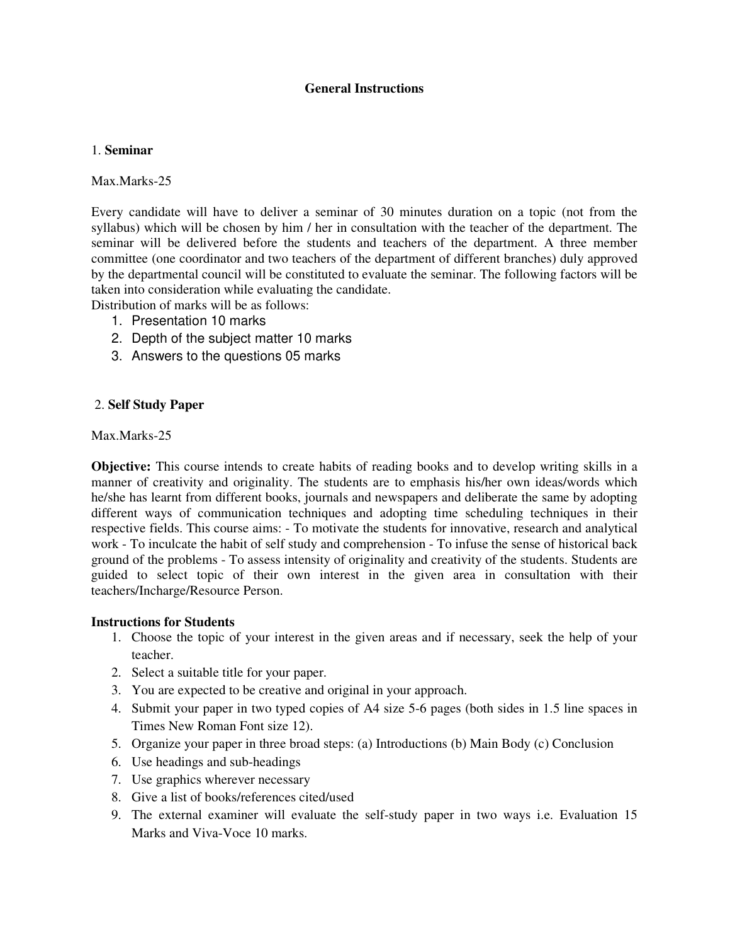# **General Instructions**

# 1. **Seminar**

Max Marks-25

Every candidate will have to deliver a seminar of 30 minutes duration on a topic (not from the syllabus) which will be chosen by him / her in consultation with the teacher of the department. The seminar will be delivered before the students and teachers of the department. A three member committee (one coordinator and two teachers of the department of different branches) duly approved by the departmental council will be constituted to evaluate the seminar. The following factors will be taken into consideration while evaluating the candidate.

Distribution of marks will be as follows:

- 1. Presentation 10 marks
- 2. Depth of the subject matter 10 marks
- 3. Answers to the questions 05 marks

# 2. **Self Study Paper**

# Max.Marks-25

**Objective:** This course intends to create habits of reading books and to develop writing skills in a manner of creativity and originality. The students are to emphasis his/her own ideas/words which he/she has learnt from different books, journals and newspapers and deliberate the same by adopting different ways of communication techniques and adopting time scheduling techniques in their respective fields. This course aims: - To motivate the students for innovative, research and analytical work - To inculcate the habit of self study and comprehension - To infuse the sense of historical back ground of the problems - To assess intensity of originality and creativity of the students. Students are guided to select topic of their own interest in the given area in consultation with their teachers/Incharge/Resource Person.

# **Instructions for Students**

- 1. Choose the topic of your interest in the given areas and if necessary, seek the help of your teacher.
- 2. Select a suitable title for your paper.
- 3. You are expected to be creative and original in your approach.
- 4. Submit your paper in two typed copies of A4 size 5-6 pages (both sides in 1.5 line spaces in Times New Roman Font size 12).
- 5. Organize your paper in three broad steps: (a) Introductions (b) Main Body (c) Conclusion
- 6. Use headings and sub-headings
- 7. Use graphics wherever necessary
- 8. Give a list of books/references cited/used
- 9. The external examiner will evaluate the self-study paper in two ways i.e. Evaluation 15 Marks and Viva-Voce 10 marks.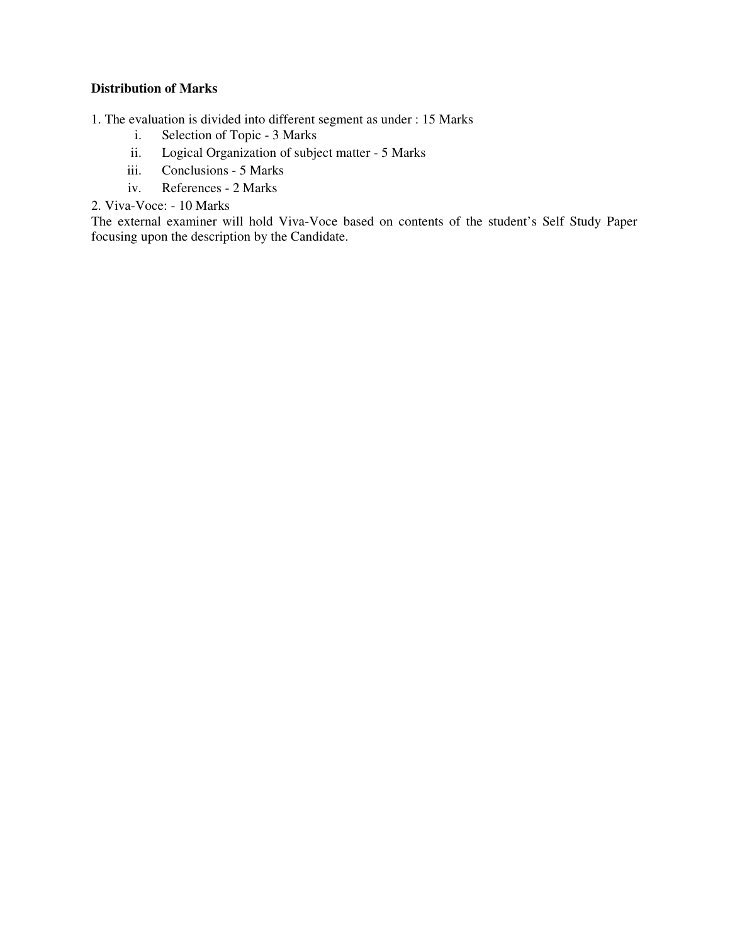# **Distribution of Marks**

1. The evaluation is divided into different segment as under : 15 Marks

- i. Selection of Topic 3 Marks
- ii. Logical Organization of subject matter 5 Marks
- iii. Conclusions 5 Marks
- iv. References 2 Marks

2. Viva-Voce: - 10 Marks

The external examiner will hold Viva-Voce based on contents of the student's Self Study Paper focusing upon the description by the Candidate.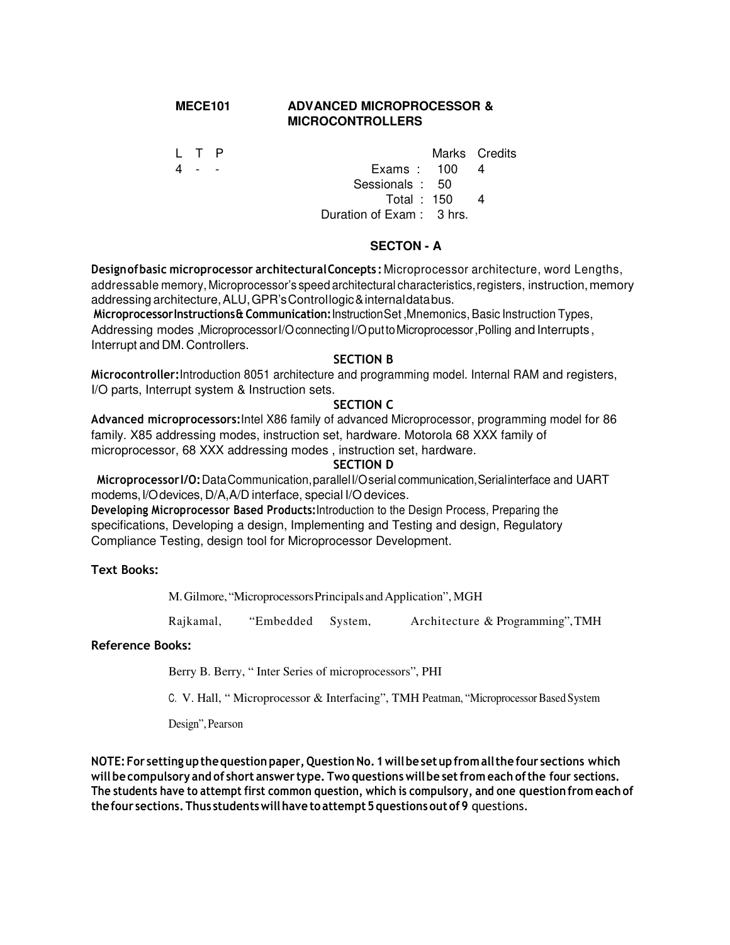# **MECE101 ADVANCED MICROPROCESSOR & MICROCONTROLLERS**

L T P Marks Credits

4 - - Exams : 100 4 Sessionals : 50 Total : 150 4

Duration of Exam : 3 hrs.

# **SECTON - A**

**Design of basic microprocessor architectural Concepts :** Microprocessor architecture, word Lengths, addressable memory, Microprocessor's speed architectural characteristics, registers, instruction, memory addressing architecture, ALU, GPR's Control logic & internal data bus.

**Microprocessor Instructions & Communication:** Instruction Set ,Mnemonics, Basic Instruction Types, Addressing modes ,Microprocessor I/O connecting I/O put to Microprocessor ,Polling and Interrupts , Interrupt and DM. Controllers.

# **SECTION B**

**Microcontroller:**Introduction 8051 architecture and programming model. Internal RAM and registers, I/O parts, Interrupt system & Instruction sets.

# **SECTION C**

**Advanced microprocessors:**Intel X86 family of advanced Microprocessor, programming model for 86 family. X85 addressing modes, instruction set, hardware. Motorola 68 XXX family of microprocessor, 68 XXX addressing modes , instruction set, hardware.

### **SECTION D**

**Microprocessor I/O:** Data Communication, parallel I/O serial communication, Serial interface and UART modems, I/O devices, D/A,A/D interface, special I/O devices.

**Developing Microprocessor Based Products:**Introduction to the Design Process, Preparing the specifications, Developing a design, Implementing and Testing and design, Regulatory Compliance Testing, design tool for Microprocessor Development.

# **Text Books:**

M. Gilmore, "Microprocessors Principals and Application", MGH

Rajkamal, "Embedded System, Architecture & Programming", TMH

# **Reference Books:**

Berry B. Berry, " Inter Series of microprocessors", PHI

C. V. Hall, " Microprocessor & Interfacing", TMH Peatman, "Microprocessor Based System

Design", Pearson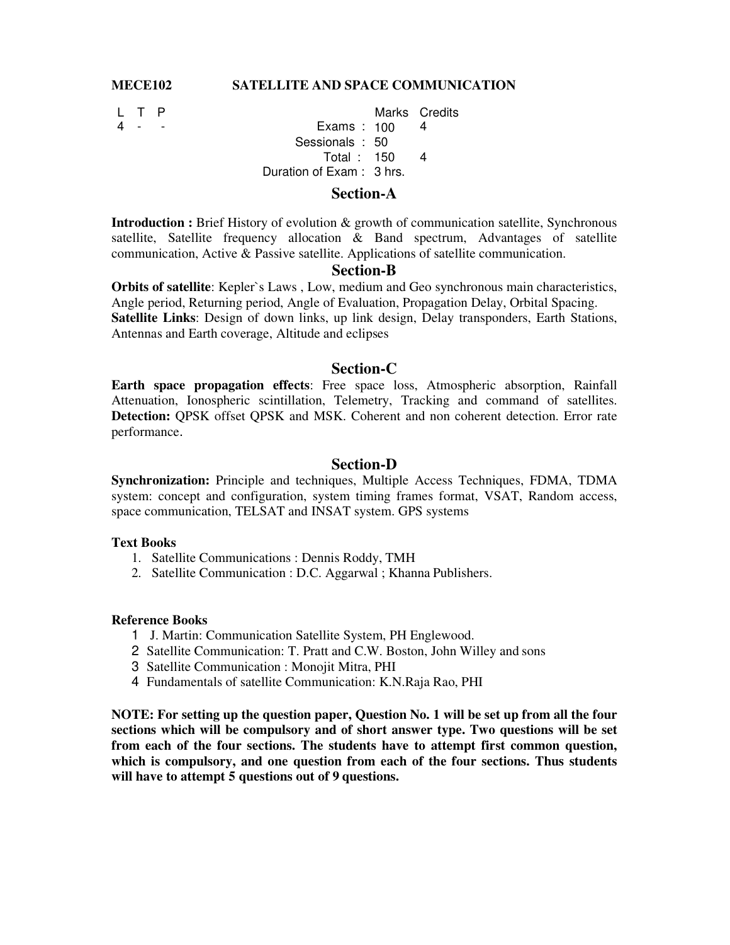# **MECE102 SATELLITE AND SPACE COMMUNICATION**

L T P Marks Credits  $Examples: 100 4$ Sessionals : 50 Total : 150 Duration of Exam : 3 hrs. 4

# **Section-A**

**Introduction :** Brief History of evolution & growth of communication satellite, Synchronous satellite, Satellite frequency allocation & Band spectrum, Advantages of satellite communication, Active & Passive satellite. Applications of satellite communication.

# **Section-B**

**Orbits of satellite**: Kepler`s Laws , Low, medium and Geo synchronous main characteristics, Angle period, Returning period, Angle of Evaluation, Propagation Delay, Orbital Spacing. **Satellite Links**: Design of down links, up link design, Delay transponders, Earth Stations, Antennas and Earth coverage, Altitude and eclipses

#### **Section-C**

**Earth space propagation effects**: Free space loss, Atmospheric absorption, Rainfall Attenuation, Ionospheric scintillation, Telemetry, Tracking and command of satellites. **Detection:** QPSK offset QPSK and MSK. Coherent and non coherent detection. Error rate performance.

### **Section-D**

**Synchronization:** Principle and techniques, Multiple Access Techniques, FDMA, TDMA system: concept and configuration, system timing frames format, VSAT, Random access, space communication, TELSAT and INSAT system. GPS systems

#### **Text Books**

- 1. Satellite Communications : Dennis Roddy, TMH
- 2. Satellite Communication : D.C. Aggarwal ; Khanna Publishers.

#### **Reference Books**

- 1 J. Martin: Communication Satellite System, PH Englewood.
- 2 Satellite Communication: T. Pratt and C.W. Boston, John Willey and sons
- 3 Satellite Communication : Monojit Mitra, PHI
- 4 Fundamentals of satellite Communication: K.N.Raja Rao, PHI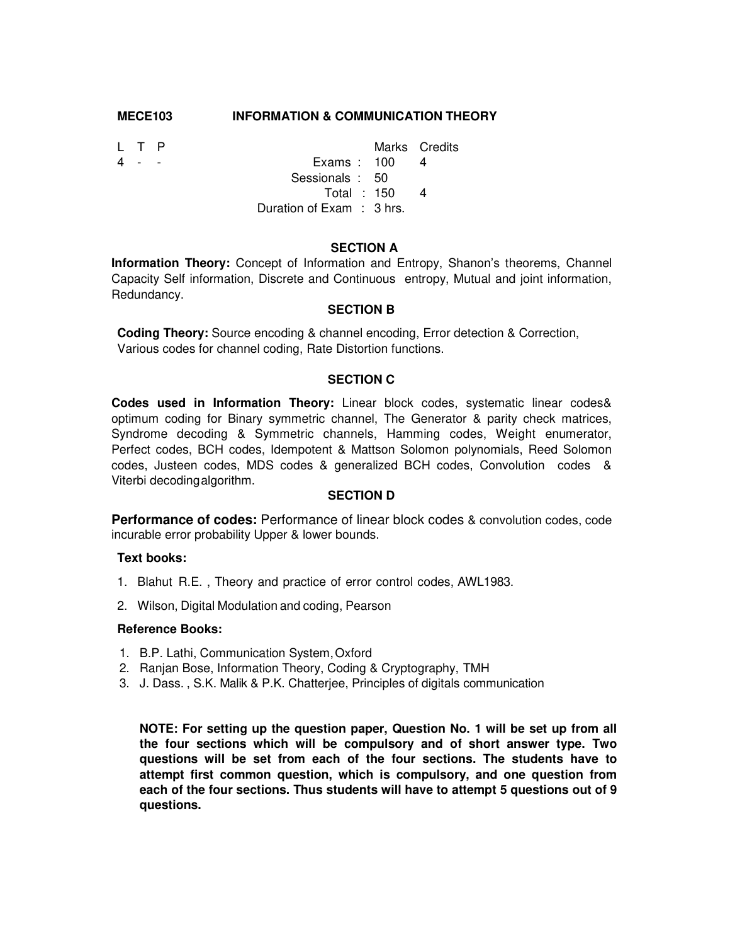#### **MECE103 INFORMATION & COMMUNICATION THEORY**

L T P Marks Credits 4 - - Exams : 100 4 Sessionals : 50 Total : 150 Duration of Exam : 3 hrs. 4

#### **SECTION A**

**Information Theory:** Concept of Information and Entropy, Shanon's theorems, Channel Capacity Self information, Discrete and Continuous entropy, Mutual and joint information, Redundancy.

### **SECTION B**

**Coding Theory:** Source encoding & channel encoding, Error detection & Correction, Various codes for channel coding, Rate Distortion functions.

#### **SECTION C**

**Codes used in Information Theory:** Linear block codes, systematic linear codes& optimum coding for Binary symmetric channel, The Generator & parity check matrices, Syndrome decoding & Symmetric channels, Hamming codes, Weight enumerator, Perfect codes, BCH codes, Idempotent & Mattson Solomon polynomials, Reed Solomon codes, Justeen codes, MDS codes & generalized BCH codes, Convolution codes & Viterbi decoding algorithm.

#### **SECTION D**

**Performance of codes:** Performance of linear block codes & convolution codes, code incurable error probability Upper & lower bounds.

#### **Text books:**

- 1. Blahut R.E. , Theory and practice of error control codes, AWL1983.
- 2. Wilson, Digital Modulation and coding, Pearson

#### **Reference Books:**

- 1. B.P. Lathi, Communication System, Oxford
- 2. Ranjan Bose, Information Theory, Coding & Cryptography, TMH
- 3. J. Dass. , S.K. Malik & P.K. Chatterjee, Principles of digitals communication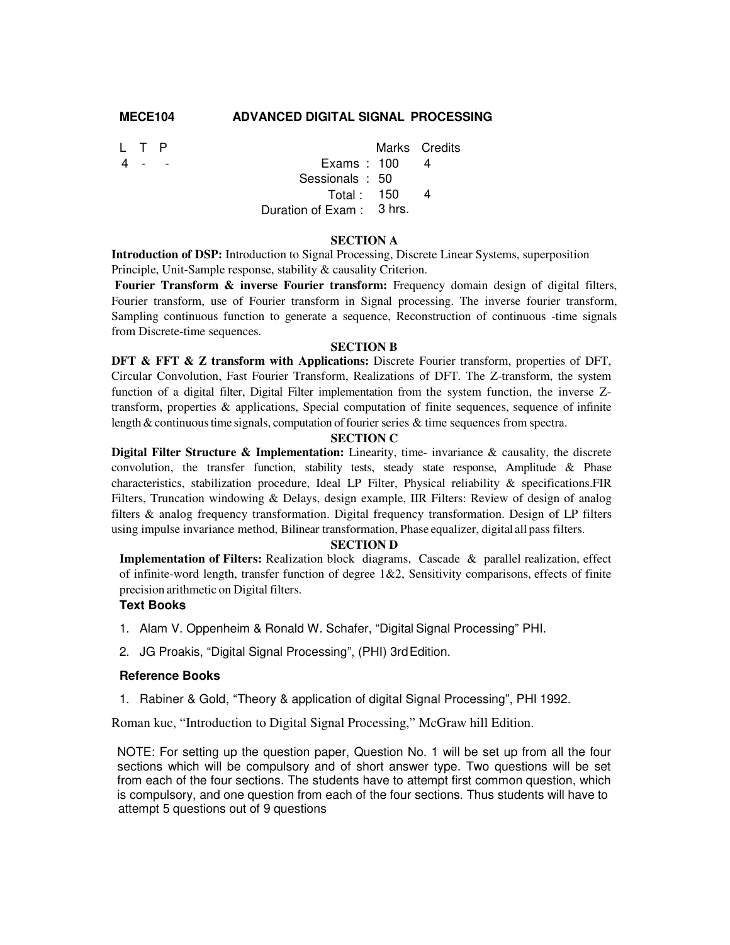# **MECE104 ADVANCED DIGITAL SIGNAL PROCESSING**

|  |                     | Marks Credits                                                              |
|--|---------------------|----------------------------------------------------------------------------|
|  |                     | $\overline{4}$                                                             |
|  |                     |                                                                            |
|  |                     |                                                                            |
|  |                     |                                                                            |
|  | $\top$ $P$<br>4 - - | Exams: $100$<br>Sessionals: 50<br>Total: $150$<br>Duration of Exam: 3 hrs. |

#### **SECTION A**

**Introduction of DSP:** Introduction to Signal Processing, Discrete Linear Systems, superposition Principle, Unit-Sample response, stability & causality Criterion.

**Fourier Transform & inverse Fourier transform:** Frequency domain design of digital filters, Fourier transform, use of Fourier transform in Signal processing. The inverse fourier transform, Sampling continuous function to generate a sequence, Reconstruction of continuous -time signals from Discrete-time sequences.

#### **SECTION B**

**DFT & FFT & Z transform with Applications:** Discrete Fourier transform, properties of DFT, Circular Convolution, Fast Fourier Transform, Realizations of DFT. The Z-transform, the system function of a digital filter, Digital Filter implementation from the system function, the inverse Ztransform, properties & applications, Special computation of finite sequences, sequence of infinite length & continuous time signals, computation of fourier series & time sequences from spectra.

#### **SECTION C**

**Digital Filter Structure & Implementation:** Linearity, time- invariance & causality, the discrete convolution, the transfer function, stability tests, steady state response, Amplitude & Phase characteristics, stabilization procedure, Ideal LP Filter, Physical reliability & specifications.FIR Filters, Truncation windowing & Delays, design example, IIR Filters: Review of design of analog filters & analog frequency transformation. Digital frequency transformation. Design of LP filters using impulse invariance method, Bilinear transformation, Phase equalizer, digital all pass filters.

#### **SECTION D**

**Implementation of Filters:** Realization block diagrams, Cascade & parallel realization, effect of infinite-word length, transfer function of degree 1&2, Sensitivity comparisons, effects of finite precision arithmetic on Digital filters.

#### **Text Books**

- 1. Alam V. Oppenheim & Ronald W. Schafer, "Digital Signal Processing" PHI.
- 2. JG Proakis, "Digital Signal Processing", (PHI) 3rd Edition.

#### **Reference Books**

1. Rabiner & Gold, "Theory & application of digital Signal Processing", PHI 1992.

Roman kuc, "Introduction to Digital Signal Processing," McGraw hill Edition.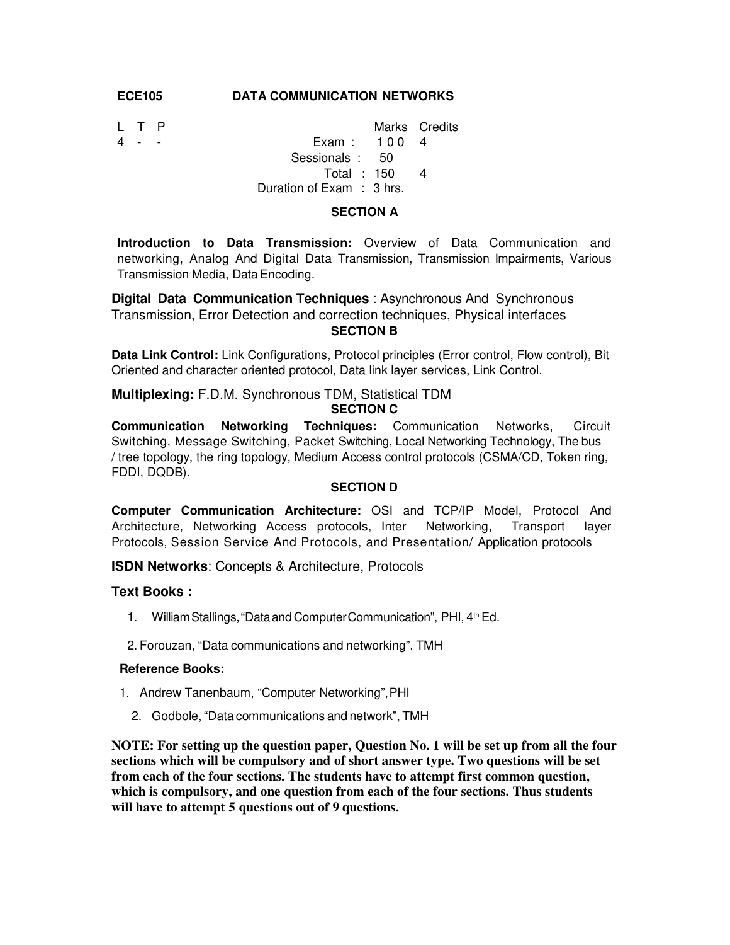#### **ECE105 DATA COMMUNICATION NETWORKS**

| LT P  |                          | Marks Credits |
|-------|--------------------------|---------------|
| 4 - - | Exam: $1004$             |               |
|       | Sessionals: 50           |               |
|       | Total : 150              |               |
|       | Duration of Exam: 3 hrs. |               |
|       |                          |               |

#### **SECTION A**

**Introduction to Data Transmission:** Overview of Data Communication and networking, Analog And Digital Data Transmission, Transmission Impairments, Various Transmission Media, Data Encoding.

**Digital Data Communication Techniques** : Asynchronous And Synchronous Transmission, Error Detection and correction techniques, Physical interfaces **SECTION B** 

**Data Link Control:** Link Configurations, Protocol principles (Error control, Flow control), Bit Oriented and character oriented protocol, Data link layer services, Link Control.

**Multiplexing:** F.D.M. Synchronous TDM, Statistical TDM **SECTION C** 

**Communication Networking Techniques:** Communication Networks, Circuit Switching, Message Switching, Packet Switching, Local Networking Technology, The bus / tree topology, the ring topology, Medium Access control protocols (CSMA/CD, Token ring, FDDI, DQDB).

#### **SECTION D**

**Computer Communication Architecture:** OSI and TCP/IP Model, Protocol And Architecture, Networking Access protocols, Inter Networking, Transport layer Protocols, Session Service And Protocols, and Presentation/ Application protocols

**ISDN Networks**: Concepts & Architecture, Protocols

#### **Text Books :**

- 1. William Stallings, "Data and Computer Communication", PHI, 4<sup>th</sup> Ed.
- 2. Forouzan, "Data communications and networking", TMH

### **Reference Books:**

- 1. Andrew Tanenbaum, "Computer Networking", PHI
	- 2. Godbole, "Data communications and network", TMH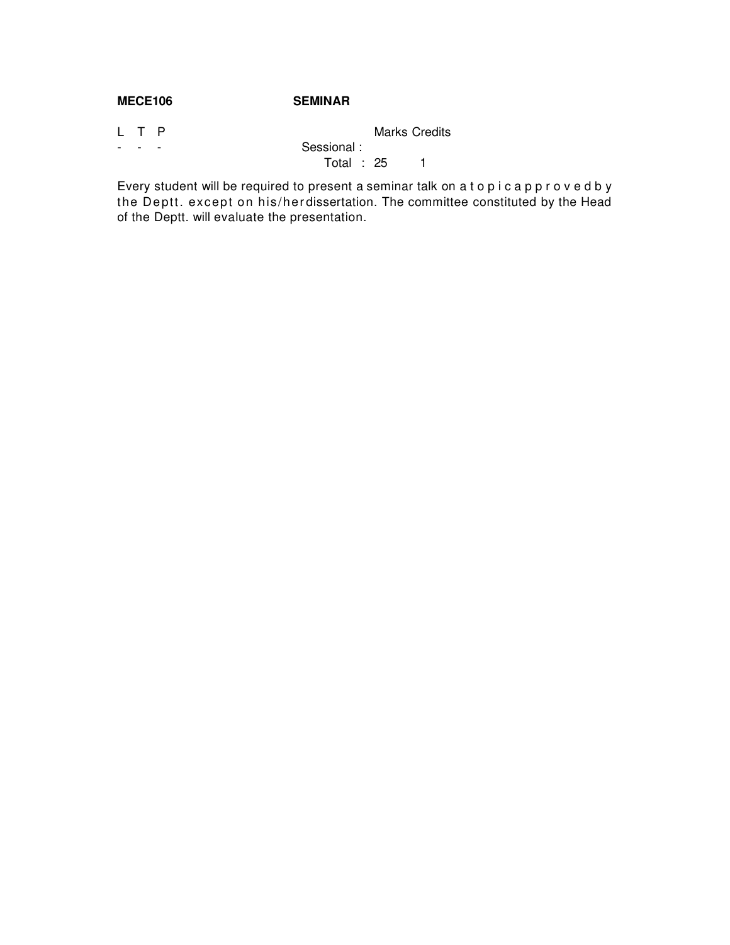# **MECE106 SEMINAR**

|                          | L T P |                          |              | <b>Marks Credits</b> |  |
|--------------------------|-------|--------------------------|--------------|----------------------|--|
| $\overline{\phantom{0}}$ |       | $\overline{\phantom{a}}$ | Sessional:   |                      |  |
|                          |       |                          | Total : $25$ |                      |  |

Every student will be required to present a seminar talk on a t o p i c a p p r o v e d b y the Deptt. except on his/herdissertation. The committee constituted by the Head of the Deptt. will evaluate the presentation.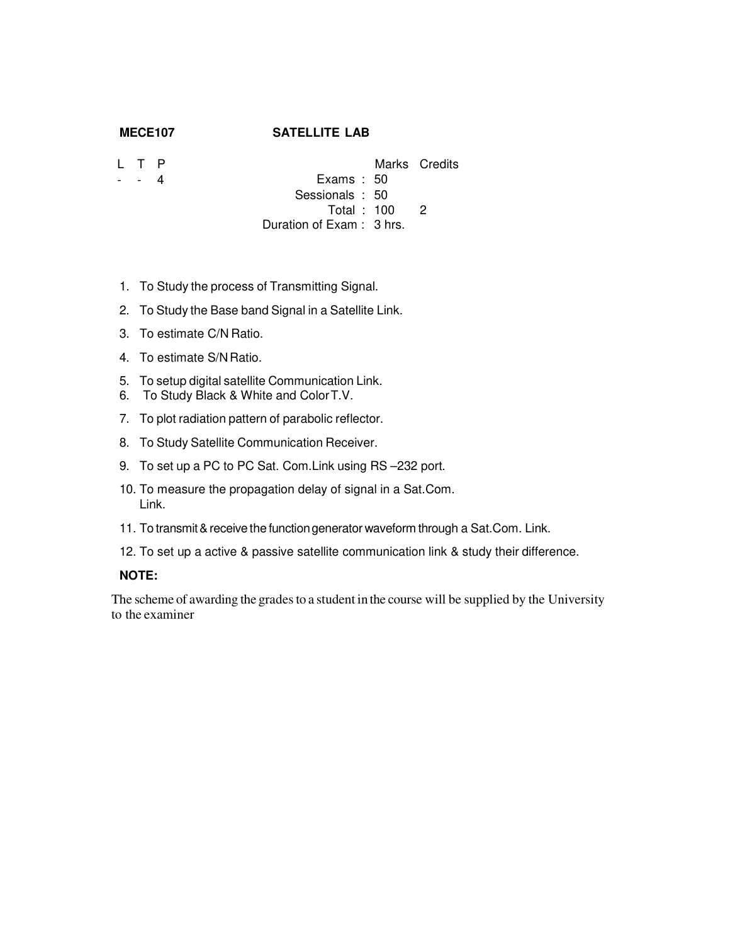# **MECE107 SATELLITE LAB**

- L T P - - 4
- Marks Credits Exams : 50 Sessionals : 50 Total : 100 2
- Duration of Exam : 3 hrs.
- 1. To Study the process of Transmitting Signal.
- 2. To Study the Base band Signal in a Satellite Link.
- 3. To estimate C/N Ratio.
- 4. To estimate S/N Ratio.
- 5. To setup digital satellite Communication Link.
- 6. To Study Black & White and Color T.V.
- 7. To plot radiation pattern of parabolic reflector.
- 8. To Study Satellite Communication Receiver.
- 9. To set up a PC to PC Sat. Com.Link using RS –232 port.
- 10. To measure the propagation delay of signal in a Sat.Com. Link.
- 11. To transmit & receive the function generator waveform through a Sat.Com. Link.
- 12. To set up a active & passive satellite communication link & study their difference.

# **NOTE:**

The scheme of awarding the grades to a student in the course will be supplied by the University to the examiner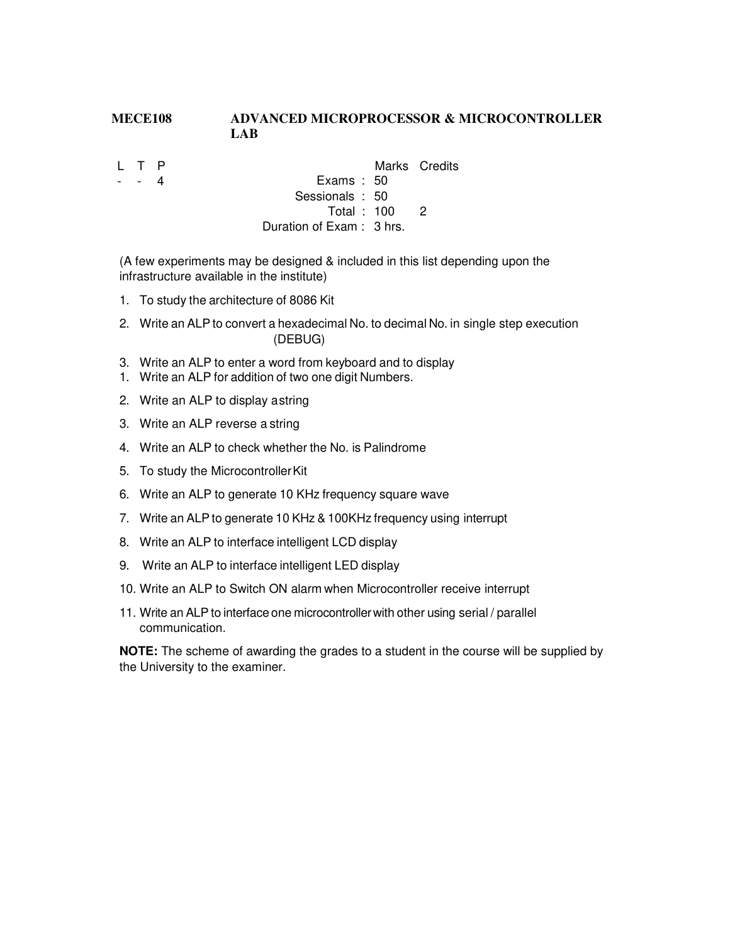# **MECE108 ADVANCED MICROPROCESSOR & MICROCONTROLLER LAB**

- L T P
- - 4
- Marks Credits
- Exams : 50 Sessionals : 50
	- Total : 100 2

Duration of Exam : 3 hrs.

(A few experiments may be designed & included in this list depending upon the infrastructure available in the institute)

- 1. To study the architecture of 8086 Kit
- 2. Write an ALP to convert a hexadecimal No. to decimal No. in single step execution (DEBUG)
- 3. Write an ALP to enter a word from keyboard and to display
- 1. Write an ALP for addition of two one digit Numbers.
- 2. Write an ALP to display a string
- 3. Write an ALP reverse a string
- 4. Write an ALP to check whether the No. is Palindrome
- 5. To study the Microcontroller Kit
- 6. Write an ALP to generate 10 KHz frequency square wave
- 7. Write an ALP to generate 10 KHz & 100KHz frequency using interrupt
- 8. Write an ALP to interface intelligent LCD display
- 9. Write an ALP to interface intelligent LED display
- 10. Write an ALP to Switch ON alarm when Microcontroller receive interrupt
- 11. Write an ALP to interface one microcontroller with other using serial / parallel communication.

**NOTE:** The scheme of awarding the grades to a student in the course will be supplied by the University to the examiner.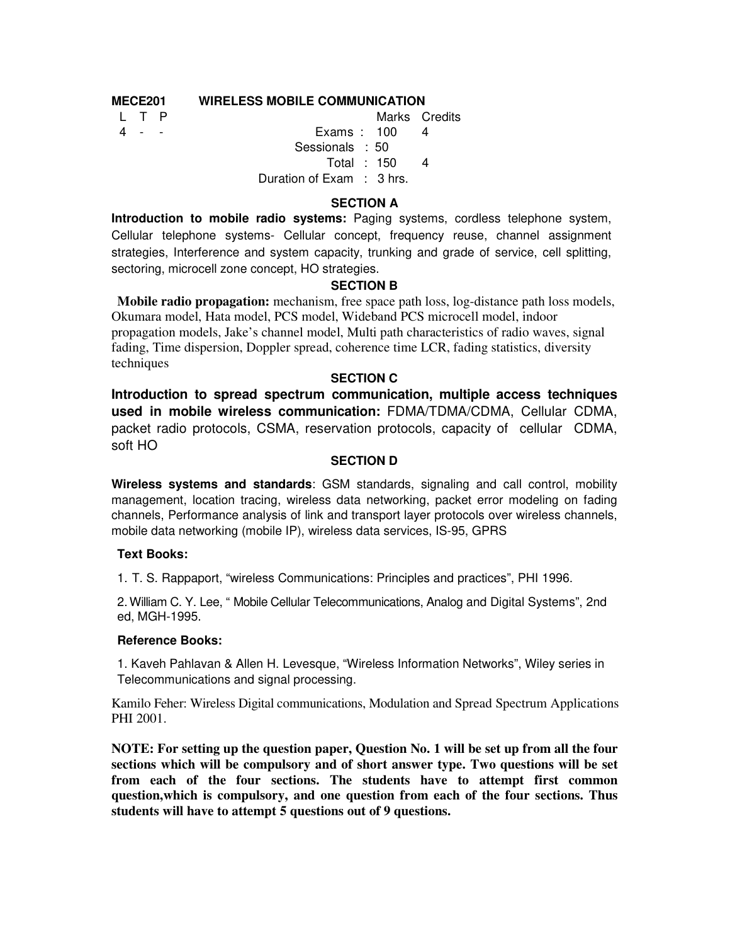# **MECE201 WIRELESS MOBILE COMMUNICATION**

L T P

4 - - Exams : 100 Marks Credits 4 Sessionals : 50 Total : 150 4 Duration of Exam : 3 hrs.

# **SECTION A**

**Introduction to mobile radio systems:** Paging systems, cordless telephone system, Cellular telephone systems- Cellular concept, frequency reuse, channel assignment strategies, Interference and system capacity, trunking and grade of service, cell splitting, sectoring, microcell zone concept, HO strategies.

# **SECTION B**

**Mobile radio propagation:** mechanism, free space path loss, log-distance path loss models, Okumara model, Hata model, PCS model, Wideband PCS microcell model, indoor propagation models, Jake's channel model, Multi path characteristics of radio waves, signal fading, Time dispersion, Doppler spread, coherence time LCR, fading statistics, diversity techniques

# **SECTION C**

**Introduction to spread spectrum communication, multiple access techniques used in mobile wireless communication:** FDMA/TDMA/CDMA, Cellular CDMA, packet radio protocols, CSMA, reservation protocols, capacity of cellular CDMA, soft HO

# **SECTION D**

**Wireless systems and standards**: GSM standards, signaling and call control, mobility management, location tracing, wireless data networking, packet error modeling on fading channels, Performance analysis of link and transport layer protocols over wireless channels, mobile data networking (mobile IP), wireless data services, IS-95, GPRS

# **Text Books:**

1. T. S. Rappaport, "wireless Communications: Principles and practices", PHI 1996.

2. William C. Y. Lee, " Mobile Cellular Telecommunications, Analog and Digital Systems", 2nd ed, MGH-1995.

#### **Reference Books:**

1. Kaveh Pahlavan & Allen H. Levesque, "Wireless Information Networks", Wiley series in Telecommunications and signal processing.

Kamilo Feher: Wireless Digital communications, Modulation and Spread Spectrum Applications PHI 2001.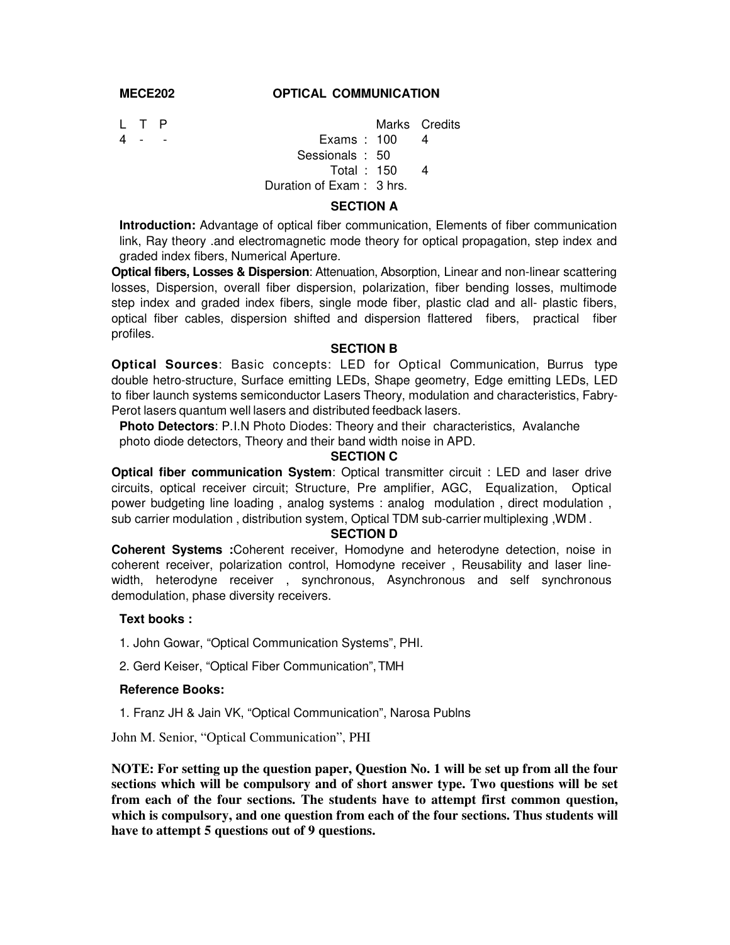#### **MECE202 OPTICAL COMMUNICATION**

L T P Marks Credits

4 - - Exams : 100 4 Sessionals : 50

Total : 150 4

Duration of Exam : 3 hrs.

### **SECTION A**

**Introduction:** Advantage of optical fiber communication, Elements of fiber communication link, Ray theory .and electromagnetic mode theory for optical propagation, step index and graded index fibers, Numerical Aperture.

**Optical fibers, Losses & Dispersion**: Attenuation, Absorption, Linear and non-linear scattering losses, Dispersion, overall fiber dispersion, polarization, fiber bending losses, multimode step index and graded index fibers, single mode fiber, plastic clad and all- plastic fibers, optical fiber cables, dispersion shifted and dispersion flattered fibers, practical fiber profiles.

#### **SECTION B**

**Optical Sources**: Basic concepts: LED for Optical Communication, Burrus type double hetro-structure, Surface emitting LEDs, Shape geometry, Edge emitting LEDs, LED to fiber launch systems semiconductor Lasers Theory, modulation and characteristics, Fabry-Perot lasers quantum well lasers and distributed feedback lasers.

**Photo Detectors**: P.I.N Photo Diodes: Theory and their characteristics, Avalanche photo diode detectors, Theory and their band width noise in APD.

# **SECTION C**

**Optical fiber communication System**: Optical transmitter circuit : LED and laser drive circuits, optical receiver circuit; Structure, Pre amplifier, AGC, Equalization, Optical power budgeting line loading , analog systems : analog modulation , direct modulation , sub carrier modulation , distribution system, Optical TDM sub-carrier multiplexing ,WDM .

# **SECTION D**

**Coherent Systems :**Coherent receiver, Homodyne and heterodyne detection, noise in coherent receiver, polarization control, Homodyne receiver , Reusability and laser linewidth, heterodyne receiver , synchronous, Asynchronous and self synchronous demodulation, phase diversity receivers.

# **Text books :**

1. John Gowar, "Optical Communication Systems", PHI.

2. Gerd Keiser, "Optical Fiber Communication", TMH

#### **Reference Books:**

1. Franz JH & Jain VK, "Optical Communication", Narosa Publns

John M. Senior, "Optical Communication", PHI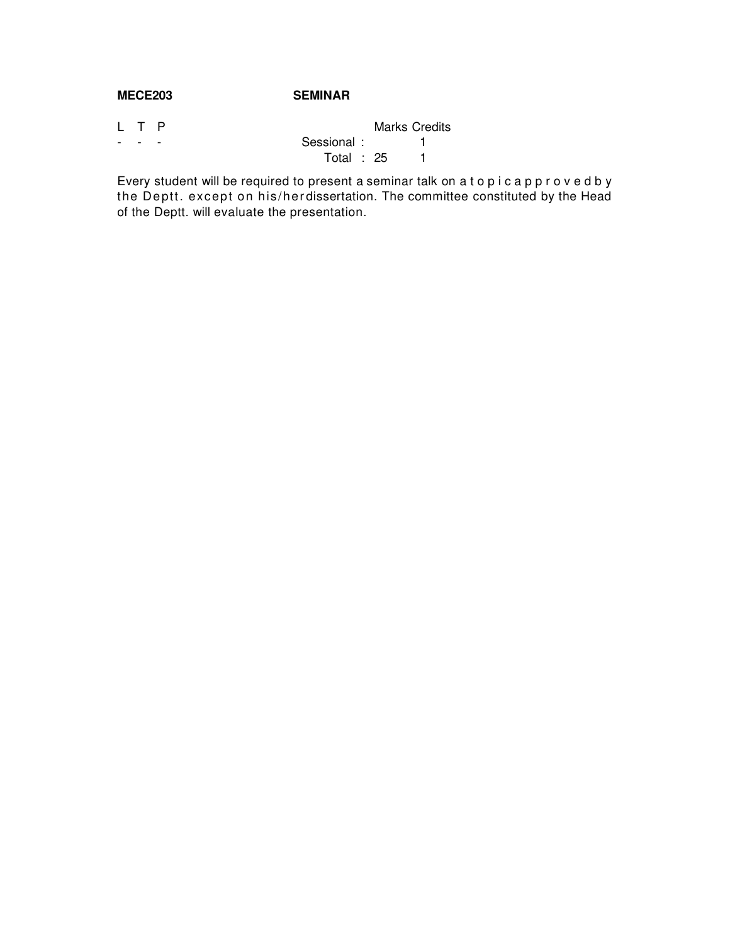# **MECE203 SEMINAR**

| L T P |              | <b>Marks Credits</b> |  |
|-------|--------------|----------------------|--|
| -     | Sessional:   |                      |  |
|       | Total : $25$ |                      |  |

Every student will be required to present a seminar talk on a t o p i c a p p r o v e d b y the Deptt. except on his/herdissertation. The committee constituted by the Head of the Deptt. will evaluate the presentation.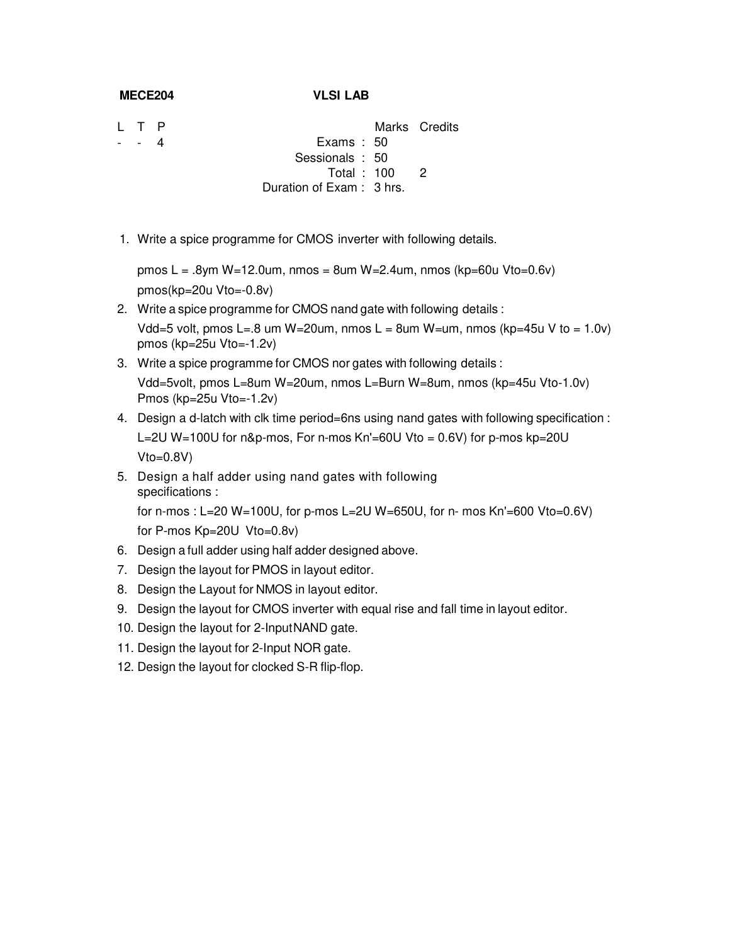### **MECE204 VLSI LAB**

L T P - - 4

Marks Credits Exams : 50

- - Sessionals : 50 Total : 100 2
	- Duration of Exam : 3 hrs.
- 1. Write a spice programme for CMOS inverter with following details.

pmos L = .8ym W=12.0um, nmos = 8um W=2.4um, nmos (kp=60u Vto=0.6v) pmos(kp=20u Vto=-0.8v)

- 2. Write a spice programme for CMOS nand gate with following details : Vdd=5 volt, pmos L=.8 um W=20um, nmos L = 8um W=um, nmos (kp=45u V to = 1.0v) pmos (kp=25u Vto=-1.2v)
- 3. Write a spice programme for CMOS nor gates with following details : Vdd=5volt, pmos L=8um W=20um, nmos L=Burn W=8um, nmos (kp=45u Vto-1.0v) Pmos (kp=25u Vto=-1.2v)
- 4. Design a d-latch with clk time period=6ns using nand gates with following specification : L=2U W=100U for n&p-mos, For n-mos Kn'=60U Vto = 0.6V) for p-mos kp=20U  $Vto=0.8V$
- 5. Design a half adder using nand gates with following specifications : for n-mos : L=20 W=100U, for p-mos L=2U W=650U, for n- mos Kn'=600 Vto=0.6V) for P-mos Kp=20U Vto=0.8v)
- 6. Design a full adder using half adder designed above.
- 7. Design the layout for PMOS in layout editor.
- 8. Design the Layout for NMOS in layout editor.
- 9. Design the layout for CMOS inverter with equal rise and fall time in layout editor.
- 10. Design the layout for 2-Input NAND gate.
- 11. Design the layout for 2-Input NOR gate.
- 12. Design the layout for clocked S-R flip-flop.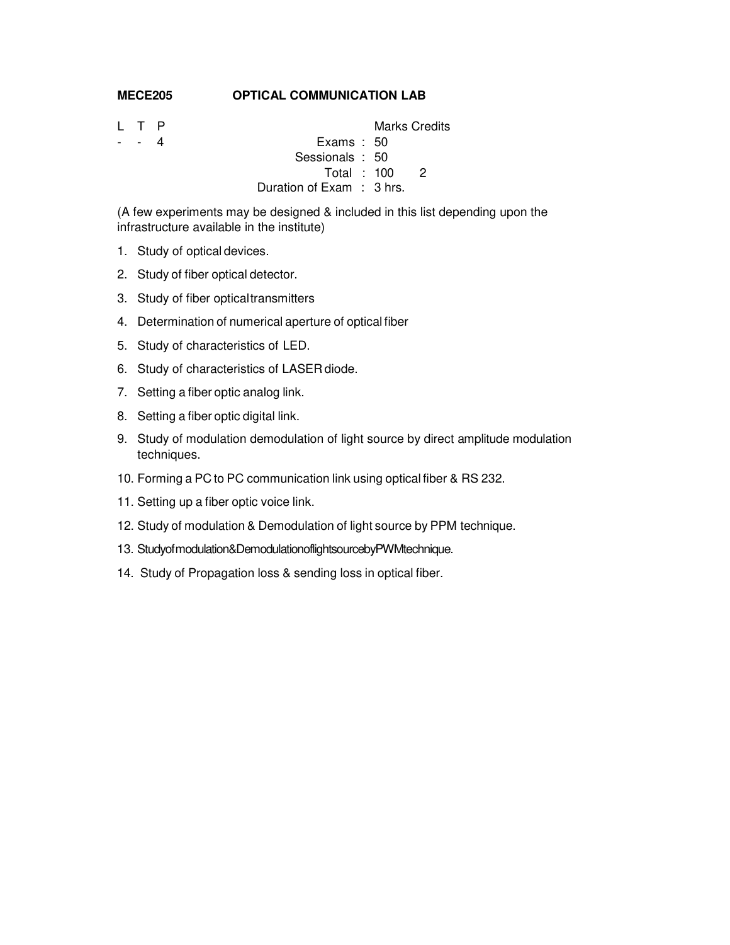#### **MECE205 OPTICAL COMMUNICATION LAB**

L T P Marks Credits - 4 **Exams** : 50 Sessionals : 50 Total : 100 2 Duration of Exam : 3 hrs.

(A few experiments may be designed & included in this list depending upon the infrastructure available in the institute)

- 1. Study of optical devices.
- 2. Study of fiber optical detector.
- 3. Study of fiber optical transmitters
- 4. Determination of numerical aperture of optical fiber
- 5. Study of characteristics of LED.
- 6. Study of characteristics of LASER diode.
- 7. Setting a fiber optic analog link.
- 8. Setting a fiber optic digital link.
- 9. Study of modulation demodulation of light source by direct amplitude modulation techniques.
- 10. Forming a PC to PC communication link using optical fiber & RS 232.
- 11. Setting up a fiber optic voice link.
- 12. Study of modulation & Demodulation of light source by PPM technique.
- 13. Studyof modulation&DemodulationoflightsourcebyPWMtechnique.
- 14. Study of Propagation loss & sending loss in optical fiber.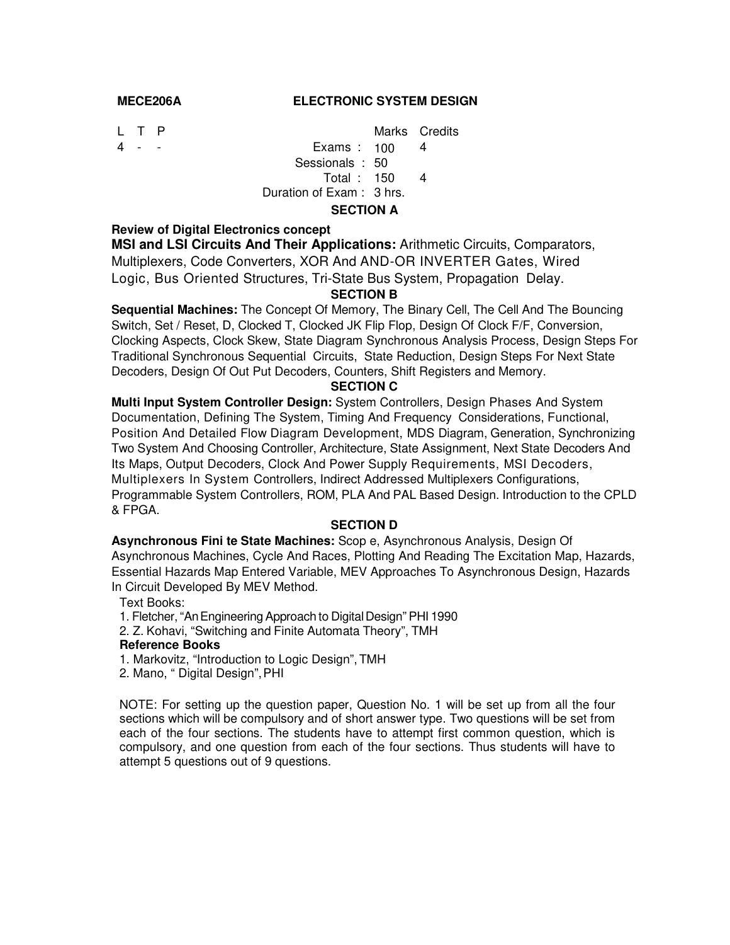#### **MECE206A ELECTRONIC SYSTEM DESIGN**

L T P Marks Credits 4 - - Exams : 100 4 Sessionals : 50 Total : 150 4 Duration of Exam : 3 hrs.

# **SECTION A**

**Review of Digital Electronics concept** 

**MSI and LSI Circuits And Their Applications:** Arithmetic Circuits, Comparators, Multiplexers, Code Converters, XOR And AND-OR INVERTER Gates, Wired Logic, Bus Oriented Structures, Tri-State Bus System, Propagation Delay.

# **SECTION B**

**Sequential Machines:** The Concept Of Memory, The Binary Cell, The Cell And The Bouncing Switch, Set / Reset, D, Clocked T, Clocked JK Flip Flop, Design Of Clock F/F, Conversion, Clocking Aspects, Clock Skew, State Diagram Synchronous Analysis Process, Design Steps For Traditional Synchronous Sequential Circuits, State Reduction, Design Steps For Next State Decoders, Design Of Out Put Decoders, Counters, Shift Registers and Memory.

#### **SECTION C**

**Multi Input System Controller Design:** System Controllers, Design Phases And System Documentation, Defining The System, Timing And Frequency Considerations, Functional, Position And Detailed Flow Diagram Development, MDS Diagram, Generation, Synchronizing Two System And Choosing Controller, Architecture, State Assignment, Next State Decoders And Its Maps, Output Decoders, Clock And Power Supply Requirements, MSI Decoders, Multiplexers In System Controllers, Indirect Addressed Multiplexers Configurations, Programmable System Controllers, ROM, PLA And PAL Based Design. Introduction to the CPLD & FPGA.

#### **SECTION D**

**Asynchronous Fini te State Machines:** Scop e, Asynchronous Analysis, Design Of Asynchronous Machines, Cycle And Races, Plotting And Reading The Excitation Map, Hazards, Essential Hazards Map Entered Variable, MEV Approaches To Asynchronous Design, Hazards In Circuit Developed By MEV Method.

Text Books:

- 1. Fletcher, "An Engineering Approach to Digital Design" PHI 1990
- 2. Z. Kohavi, "Switching and Finite Automata Theory", TMH

#### **Reference Books**

- 1. Markovitz, "Introduction to Logic Design", TMH
- 2. Mano, " Digital Design", PHI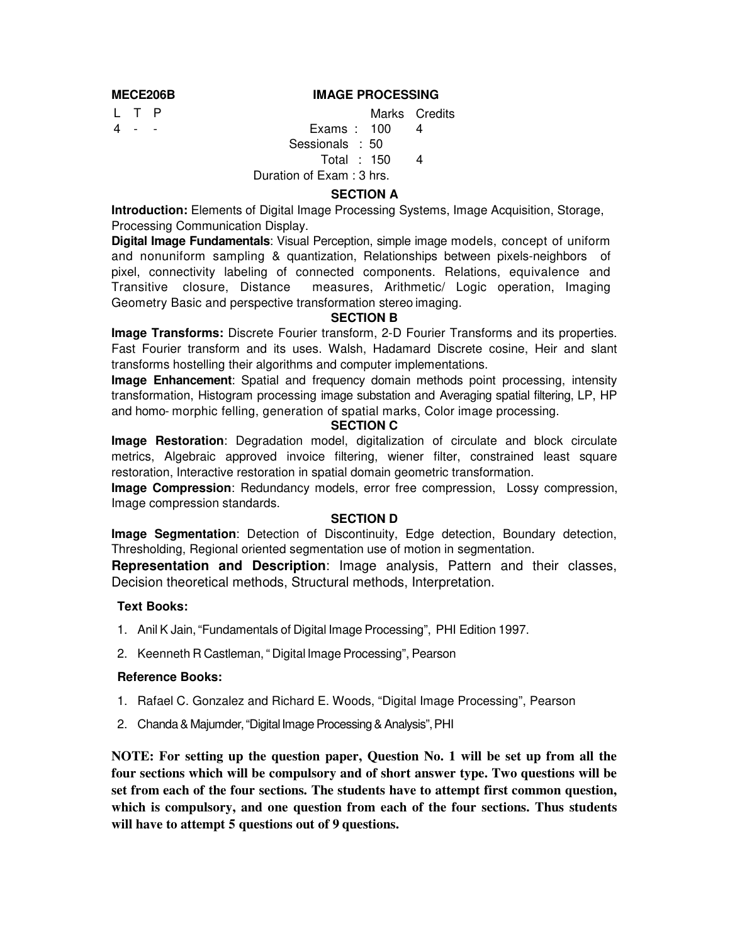# **MECE206B IMAGE PROCESSING**

L T P

Marks Credits

#### 4 - - Exams : 100 4 Sessionals : 50

# Total : 150 4

Duration of Exam : 3 hrs.

# **SECTION A**

**Introduction:** Elements of Digital Image Processing Systems, Image Acquisition, Storage, Processing Communication Display.

**Digital Image Fundamentals**: Visual Perception, simple image models, concept of uniform and nonuniform sampling & quantization, Relationships between pixels-neighbors of pixel, connectivity labeling of connected components. Relations, equivalence and Transitive closure, Distance measures, Arithmetic/ Logic operation, Imaging Geometry Basic and perspective transformation stereo imaging.

# **SECTION B**

**Image Transforms:** Discrete Fourier transform, 2-D Fourier Transforms and its properties. Fast Fourier transform and its uses. Walsh, Hadamard Discrete cosine, Heir and slant transforms hostelling their algorithms and computer implementations.

**Image Enhancement**: Spatial and frequency domain methods point processing, intensity transformation, Histogram processing image substation and Averaging spatial filtering, LP, HP and homo- morphic felling, generation of spatial marks, Color image processing.

### **SECTION C**

**Image Restoration**: Degradation model, digitalization of circulate and block circulate metrics, Algebraic approved invoice filtering, wiener filter, constrained least square restoration, Interactive restoration in spatial domain geometric transformation.

**Image Compression**: Redundancy models, error free compression, Lossy compression, Image compression standards.

# **SECTION D**

**Image Segmentation**: Detection of Discontinuity, Edge detection, Boundary detection, Thresholding, Regional oriented segmentation use of motion in segmentation.

**Representation and Description**: Image analysis, Pattern and their classes, Decision theoretical methods, Structural methods, Interpretation.

# **Text Books:**

- 1. Anil K Jain, "Fundamentals of Digital Image Processing", PHI Edition 1997.
- 2. Keenneth R Castleman, " Digital Image Processing", Pearson

#### **Reference Books:**

- 1. Rafael C. Gonzalez and Richard E. Woods, "Digital Image Processing", Pearson
- 2. Chanda & Majumder, "Digital Image Processing & Analysis", PHI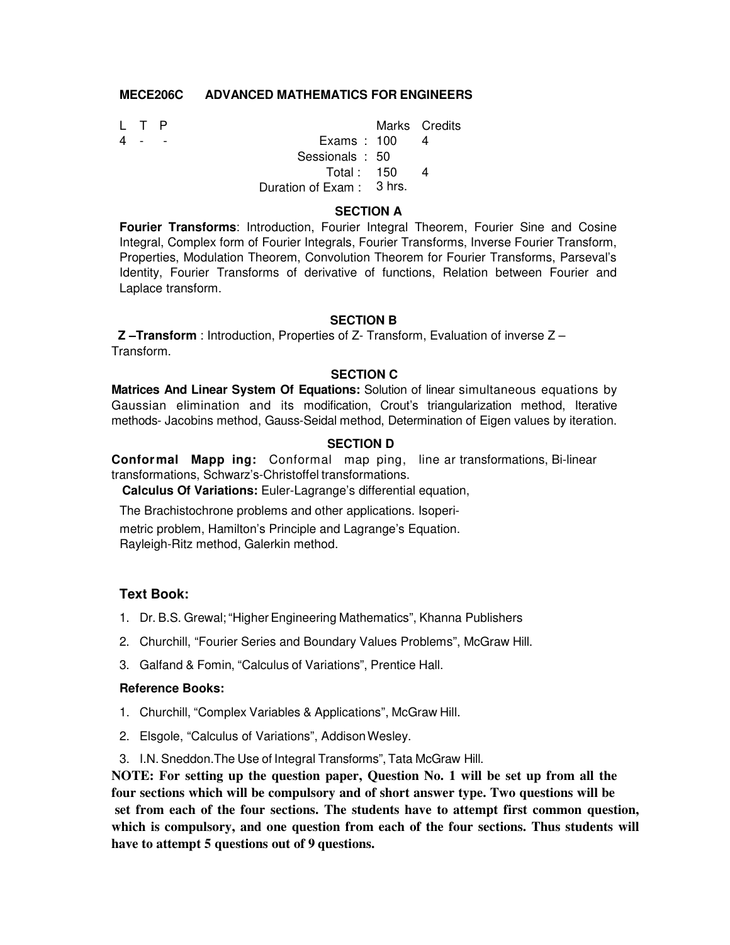# **MECE206C ADVANCED MATHEMATICS FOR ENGINEERS**

| $\top$ $P$ |                          | Marks Credits |
|------------|--------------------------|---------------|
| .          | Exams: $100$             |               |
|            | Sessionals: 50           |               |
|            | Total: $150$             |               |
|            | Duration of Exam: 3 hrs. |               |
|            |                          |               |

### **SECTION A**

**Fourier Transforms**: Introduction, Fourier Integral Theorem, Fourier Sine and Cosine Integral, Complex form of Fourier Integrals, Fourier Transforms, Inverse Fourier Transform, Properties, Modulation Theorem, Convolution Theorem for Fourier Transforms, Parseval's Identity, Fourier Transforms of derivative of functions, Relation between Fourier and Laplace transform.

# **SECTION B**

**Z –Transform** : Introduction, Properties of Z- Transform, Evaluation of inverse Z – Transform.

### **SECTION C**

**Matrices And Linear System Of Equations:** Solution of linear simultaneous equations by Gaussian elimination and its modification, Crout's triangularization method, Iterative methods- Jacobins method, Gauss-Seidal method, Determination of Eigen values by iteration.

### **SECTION D**

**Confor mal Mapp ing:** Conformal map ping, line ar transformations, Bi-linear transformations, Schwarz's-Christoffel transformations.

**Calculus Of Variations:** Euler-Lagrange's differential equation,

The Brachistochrone problems and other applications. Isoperi-

metric problem, Hamilton's Principle and Lagrange's Equation. Rayleigh-Ritz method, Galerkin method.

# **Text Book:**

- 1. Dr. B.S. Grewal; "Higher Engineering Mathematics", Khanna Publishers
- 2. Churchill, "Fourier Series and Boundary Values Problems", McGraw Hill.
- 3. Galfand & Fomin, "Calculus of Variations", Prentice Hall.

#### **Reference Books:**

- 1. Churchill, "Complex Variables & Applications", McGraw Hill.
- 2. Elsgole, "Calculus of Variations", Addison Wesley.
- 3. I.N. Sneddon.The Use of Integral Transforms", Tata McGraw Hill.